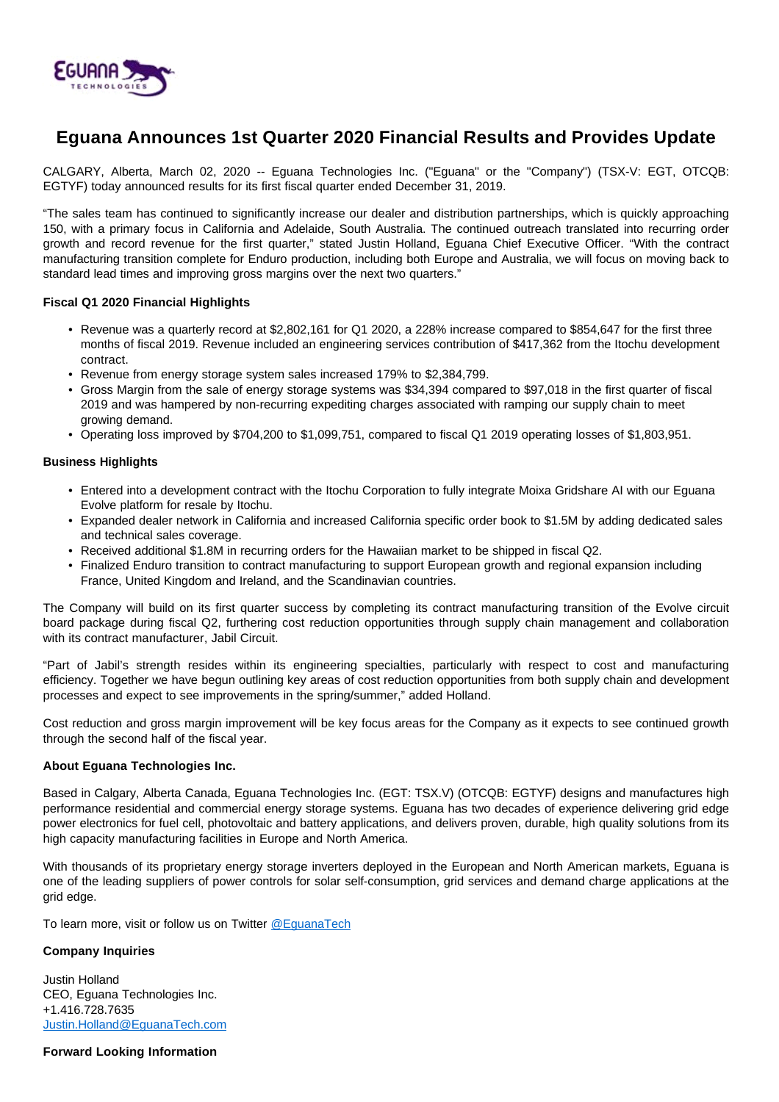

# **Eguana Announces 1st Quarter 2020 Financial Results and Provides Update**

CALGARY, Alberta, March 02, 2020 -- Eguana Technologies Inc. ("Eguana" or the "Company") (TSX-V: EGT, OTCQB: EGTYF) today announced results for its first fiscal quarter ended December 31, 2019.

"The sales team has continued to significantly increase our dealer and distribution partnerships, which is quickly approaching 150, with a primary focus in California and Adelaide, South Australia. The continued outreach translated into recurring order growth and record revenue for the first quarter," stated Justin Holland, Eguana Chief Executive Officer. "With the contract manufacturing transition complete for Enduro production, including both Europe and Australia, we will focus on moving back to standard lead times and improving gross margins over the next two quarters."

## **Fiscal Q1 2020 Financial Highlights**

- Revenue was a quarterly record at \$2,802,161 for Q1 2020, a 228% increase compared to \$854,647 for the first three months of fiscal 2019. Revenue included an engineering services contribution of \$417,362 from the Itochu development contract.
- Revenue from energy storage system sales increased 179% to \$2,384,799.
- Gross Margin from the sale of energy storage systems was \$34,394 compared to \$97,018 in the first quarter of fiscal 2019 and was hampered by non-recurring expediting charges associated with ramping our supply chain to meet growing demand.
- Operating loss improved by \$704,200 to \$1,099,751, compared to fiscal Q1 2019 operating losses of \$1,803,951.

### **Business Highlights**

- Entered into a development contract with the Itochu Corporation to fully integrate Moixa Gridshare AI with our Eguana Evolve platform for resale by Itochu.
- Expanded dealer network in California and increased California specific order book to \$1.5M by adding dedicated sales and technical sales coverage.
- Received additional \$1.8M in recurring orders for the Hawaiian market to be shipped in fiscal Q2.
- Finalized Enduro transition to contract manufacturing to support European growth and regional expansion including France, United Kingdom and Ireland, and the Scandinavian countries.

The Company will build on its first quarter success by completing its contract manufacturing transition of the Evolve circuit board package during fiscal Q2, furthering cost reduction opportunities through supply chain management and collaboration with its contract manufacturer, Jabil Circuit.

"Part of Jabil's strength resides within its engineering specialties, particularly with respect to cost and manufacturing efficiency. Together we have begun outlining key areas of cost reduction opportunities from both supply chain and development processes and expect to see improvements in the spring/summer," added Holland.

Cost reduction and gross margin improvement will be key focus areas for the Company as it expects to see continued growth through the second half of the fiscal year.

#### **About Eguana Technologies Inc.**

Based in Calgary, Alberta Canada, Eguana Technologies Inc. (EGT: TSX.V) (OTCQB: EGTYF) designs and manufactures high performance residential and commercial energy storage systems. Eguana has two decades of experience delivering grid edge power electronics for fuel cell, photovoltaic and battery applications, and delivers proven, durable, high quality solutions from its high capacity manufacturing facilities in Europe and North America.

With thousands of its proprietary energy storage inverters deployed in the European and North American markets, Eguana is one of the leading suppliers of power controls for solar self-consumption, grid services and demand charge applications at the grid edge.

To learn more, visit or follow us on Twitter [@EguanaTech](https://twitter.com/EguanaTech)

## **Company Inquiries**

Justin Holland CEO, Eguana Technologies Inc. +1.416.728.7635 [Justin.Holland@EguanaTech.com](mailto:Justin.Holland@EguanaTech.com)

## **Forward Looking Information**